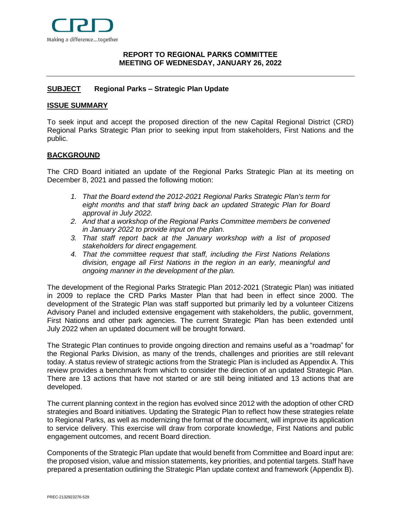

# <span id="page-0-0"></span>**[REPORT](#page-0-0) TO REGIONAL PARKS COMMITTEE MEETING OF WEDNESDAY, JANUARY 26, 2022**

# <span id="page-0-1"></span>**[SUBJECT](#page-0-1) Regional Parks – Strategic Plan Update**

## <span id="page-0-2"></span>**[ISSUE SUMMARY](#page-0-2)**

To seek input and accept the proposed direction of the new Capital Regional District (CRD) Regional Parks Strategic Plan prior to seeking input from stakeholders, First Nations and the public.

## <span id="page-0-3"></span>**[BACKGROUND](#page-0-3)**

The CRD Board initiated an update of the Regional Parks Strategic Plan at its meeting on December 8, 2021 and passed the following motion:

- *1. That the Board extend the 2012-2021 Regional Parks Strategic Plan's term for eight months and that staff bring back an updated Strategic Plan for Board approval in July 2022.*
- *2. And that a workshop of the Regional Parks Committee members be convened in January 2022 to provide input on the plan.*
- *3. That staff report back at the January workshop with a list of proposed stakeholders for direct engagement.*
- *4. That the committee request that staff, including the First Nations Relations division, engage all First Nations in the region in an early, meaningful and ongoing manner in the development of the plan.*

The development of the Regional Parks Strategic Plan 2012-2021 (Strategic Plan) was initiated in 2009 to replace the CRD Parks Master Plan that had been in effect since 2000. The development of the Strategic Plan was staff supported but primarily led by a volunteer Citizens Advisory Panel and included extensive engagement with stakeholders, the public, government, First Nations and other park agencies. The current Strategic Plan has been extended until July 2022 when an updated document will be brought forward.

The Strategic Plan continues to provide ongoing direction and remains useful as a "roadmap" for the Regional Parks Division, as many of the trends, challenges and priorities are still relevant today. A status review of strategic actions from the Strategic Plan is included as Appendix A. This review provides a benchmark from which to consider the direction of an updated Strategic Plan. There are 13 actions that have not started or are still being initiated and 13 actions that are developed.

The current planning context in the region has evolved since 2012 with the adoption of other CRD strategies and Board initiatives. Updating the Strategic Plan to reflect how these strategies relate to Regional Parks, as well as modernizing the format of the document, will improve its application to service delivery. This exercise will draw from corporate knowledge, First Nations and public engagement outcomes, and recent Board direction.

Components of the Strategic Plan update that would benefit from Committee and Board input are: the proposed vision, value and mission statements, key priorities, and potential targets. Staff have prepared a presentation outlining the Strategic Plan update context and framework (Appendix B).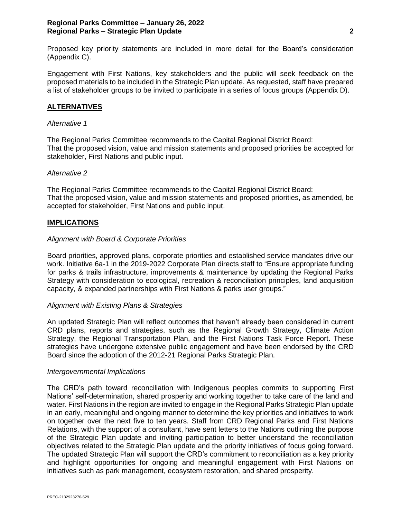Proposed key priority statements are included in more detail for the Board's consideration (Appendix C).

Engagement with First Nations, key stakeholders and the public will seek feedback on the proposed materials to be included in the Strategic Plan update. As requested, staff have prepared a list of stakeholder groups to be invited to participate in a series of focus groups (Appendix D).

# <span id="page-1-0"></span>**[ALTERNATIVES](#page-1-0)**

## *Alternative 1*

<span id="page-1-2"></span>The Regional Parks Committee recommends to the Capital Regional District Board: That the proposed vision, value and mission statements and proposed priorities be accepted for stakeholder, First Nations and public input.

## *Alternative 2*

The Regional Parks Committee recommends to the Capital Regional District Board: That the proposed vision, value and mission statements and proposed priorities, as amended, be accepted for stakeholder, First Nations and public input.

## <span id="page-1-1"></span>**[IMPLICATIONS](#page-1-1)**

## *Alignment with Board & Corporate Priorities*

Board priorities, approved plans, corporate priorities and established service mandates drive our work. Initiative 6a-1 in the 2019-2022 Corporate Plan directs staff to "Ensure appropriate funding for parks & trails infrastructure, improvements & maintenance by updating the Regional Parks Strategy with consideration to ecological, recreation & reconciliation principles, land acquisition capacity, & expanded partnerships with First Nations & parks user groups."

## *Alignment with Existing Plans & Strategies*

An updated Strategic Plan will reflect outcomes that haven't already been considered in current CRD plans, reports and strategies, such as the Regional Growth Strategy, Climate Action Strategy, the Regional Transportation Plan, and the First Nations Task Force Report. These strategies have undergone extensive public engagement and have been endorsed by the CRD Board since the adoption of the 2012-21 Regional Parks Strategic Plan.

#### *Intergovernmental Implications*

The CRD's path toward reconciliation with Indigenous peoples commits to supporting First Nations' self-determination, shared prosperity and working together to take care of the land and water. First Nations in the region are invited to engage in the Regional Parks Strategic Plan update in an early, meaningful and ongoing manner to determine the key priorities and initiatives to work on together over the next five to ten years. Staff from CRD Regional Parks and First Nations Relations, with the support of a consultant, have sent letters to the Nations outlining the purpose of the Strategic Plan update and inviting participation to better understand the reconciliation objectives related to the Strategic Plan update and the priority initiatives of focus going forward. The updated Strategic Plan will support the CRD's commitment to reconciliation as a key priority and highlight opportunities for ongoing and meaningful engagement with First Nations on initiatives such as park management, ecosystem restoration, and shared prosperity.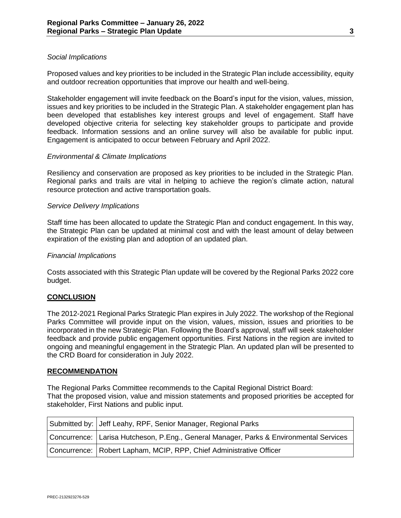## *Social Implications*

Proposed values and key priorities to be included in the Strategic Plan include accessibility, equity and outdoor recreation opportunities that improve our health and well-being.

Stakeholder engagement will invite feedback on the Board's input for the vision, values, mission, issues and key priorities to be included in the Strategic Plan. A stakeholder engagement plan has been developed that establishes key interest groups and level of engagement. Staff have developed objective criteria for selecting key stakeholder groups to participate and provide feedback. Information sessions and an online survey will also be available for public input. Engagement is anticipated to occur between February and April 2022.

## *Environmental & Climate Implications*

Resiliency and conservation are proposed as key priorities to be included in the Strategic Plan. Regional parks and trails are vital in helping to achieve the region's climate action, natural resource protection and active transportation goals.

## *Service Delivery Implications*

Staff time has been allocated to update the Strategic Plan and conduct engagement. In this way, the Strategic Plan can be updated at minimal cost and with the least amount of delay between expiration of the existing plan and adoption of an updated plan.

## *Financial Implications*

Costs associated with this Strategic Plan update will be covered by the Regional Parks 2022 core budget.

## <span id="page-2-0"></span>**[CONCLUSION](#page-2-0)**

The 2012-2021 Regional Parks Strategic Plan expires in July 2022. The workshop of the Regional Parks Committee will provide input on the vision, values, mission, issues and priorities to be incorporated in the new Strategic Plan. Following the Board's approval, staff will seek stakeholder feedback and provide public engagement opportunities. First Nations in the region are invited to ongoing and meaningful engagement in the Strategic Plan. An updated plan will be presented to the CRD Board for consideration in July 2022.

#### **RECOMMENDATION**

The Regional Parks Committee recommends to the Capital Regional District Board: That the proposed vision, value and mission statements and proposed priorities be accepted for stakeholder, First Nations and public input.

| Submitted by: Jeff Leahy, RPF, Senior Manager, Regional Parks                          |
|----------------------------------------------------------------------------------------|
| Concurrence: Larisa Hutcheson, P.Eng., General Manager, Parks & Environmental Services |
| Concurrence: Robert Lapham, MCIP, RPP, Chief Administrative Officer                    |